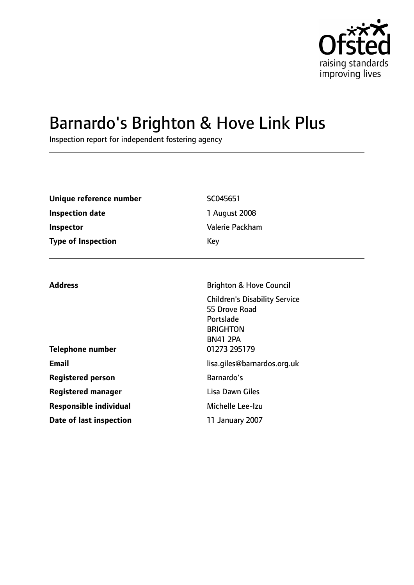

# Barnardo's Brighton & Hove Link Plus

Inspection report for independent fostering agency

| Unique reference number   | SC045651        |
|---------------------------|-----------------|
| <b>Inspection date</b>    | 1 August 2008   |
| <b>Inspector</b>          | Valerie Packham |
| <b>Type of Inspection</b> | Key             |

| <b>Address</b>                | <b>Brighton &amp; Hove Council</b>                                                                                       |
|-------------------------------|--------------------------------------------------------------------------------------------------------------------------|
| <b>Telephone number</b>       | <b>Children's Disability Service</b><br>55 Drove Road<br>Portslade<br><b>BRIGHTON</b><br><b>BN41 2PA</b><br>01273 295179 |
|                               |                                                                                                                          |
| <b>Email</b>                  | lisa.giles@barnardos.org.uk                                                                                              |
| <b>Registered person</b>      | Barnardo's                                                                                                               |
| <b>Registered manager</b>     | Lisa Dawn Giles                                                                                                          |
| <b>Responsible individual</b> | Michelle Lee-Izu                                                                                                         |
| Date of last inspection       | 11 January 2007                                                                                                          |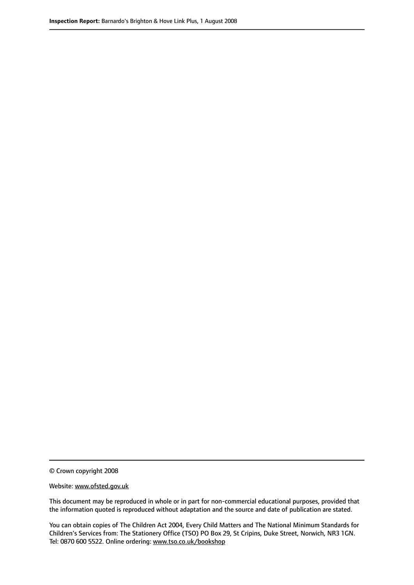© Crown copyright 2008

Website: www.ofsted.gov.uk

This document may be reproduced in whole or in part for non-commercial educational purposes, provided that the information quoted is reproduced without adaptation and the source and date of publication are stated.

You can obtain copies of The Children Act 2004, Every Child Matters and The National Minimum Standards for Children's Services from: The Stationery Office (TSO) PO Box 29, St Cripins, Duke Street, Norwich, NR3 1GN. Tel: 0870 600 5522. Online ordering: www.tso.co.uk/bookshop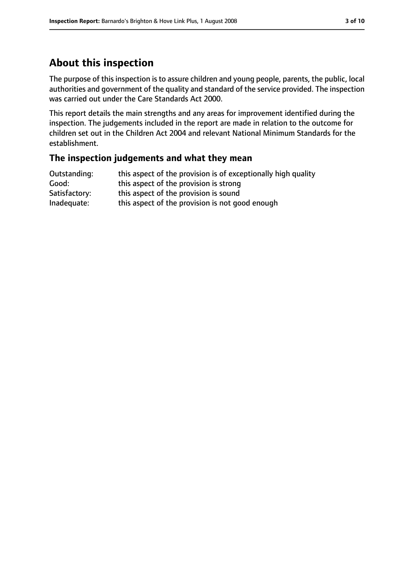# **About this inspection**

The purpose of this inspection is to assure children and young people, parents, the public, local authorities and government of the quality and standard of the service provided. The inspection was carried out under the Care Standards Act 2000.

This report details the main strengths and any areas for improvement identified during the inspection. The judgements included in the report are made in relation to the outcome for children set out in the Children Act 2004 and relevant National Minimum Standards for the establishment.

### **The inspection judgements and what they mean**

| Outstanding:  | this aspect of the provision is of exceptionally high quality |
|---------------|---------------------------------------------------------------|
| Good:         | this aspect of the provision is strong                        |
| Satisfactory: | this aspect of the provision is sound                         |
| Inadequate:   | this aspect of the provision is not good enough               |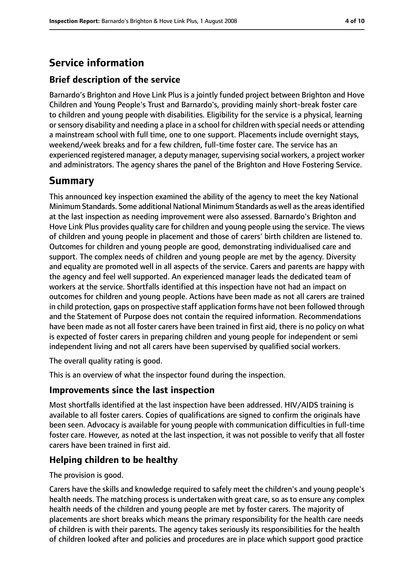# **Service information**

## **Brief description of the service**

Barnardo's Brighton and Hove Link Plus is a jointly funded project between Brighton and Hove Children and Young People's Trust and Barnardo's, providing mainly short-break foster care to children and young people with disabilities. Eligibility for the service is a physical, learning or sensory disability and needing a place in a school for children with special needs or attending a mainstream school with full time, one to one support. Placements include overnight stays, weekend/week breaks and for a few children, full-time foster care. The service has an experienced registered manager, a deputy manager, supervising social workers, a project worker and administrators. The agency shares the panel of the Brighton and Hove Fostering Service.

## **Summary**

This announced key inspection examined the ability of the agency to meet the key National Minimum Standards. Some additional National Minimum Standards as well asthe areasidentified at the last inspection as needing improvement were also assessed. Barnardo's Brighton and Hove Link Plus provides quality care for children and young people using the service. The views of children and young people in placement and those of carers' birth children are listened to. Outcomes for children and young people are good, demonstrating individualised care and support. The complex needs of children and young people are met by the agency. Diversity and equality are promoted well in all aspects of the service. Carers and parents are happy with the agency and feel well supported. An experienced manager leads the dedicated team of workers at the service. Shortfalls identified at this inspection have not had an impact on outcomes for children and young people. Actions have been made as not all carers are trained in child protection, gaps on prospective staff application forms have not been followed through and the Statement of Purpose does not contain the required information. Recommendations have been made as not all foster carers have been trained in first aid, there is no policy on what is expected of foster carers in preparing children and young people for independent or semi independent living and not all carers have been supervised by qualified social workers.

The overall quality rating is good.

This is an overview of what the inspector found during the inspection.

### **Improvements since the last inspection**

Most shortfalls identified at the last inspection have been addressed. HIV/AIDS training is available to all foster carers. Copies of qualifications are signed to confirm the originals have been seen. Advocacy is available for young people with communication difficulties in full-time foster care. However, as noted at the last inspection, it was not possible to verify that all foster carers have been trained in first aid.

### **Helping children to be healthy**

The provision is good.

Carers have the skills and knowledge required to safely meet the children's and young people's health needs. The matching process is undertaken with great care, so as to ensure any complex health needs of the children and young people are met by foster carers. The majority of placements are short breaks which means the primary responsibility for the health care needs of children is with their parents. The agency takes seriously its responsibilities for the health of children looked after and policies and procedures are in place which support good practice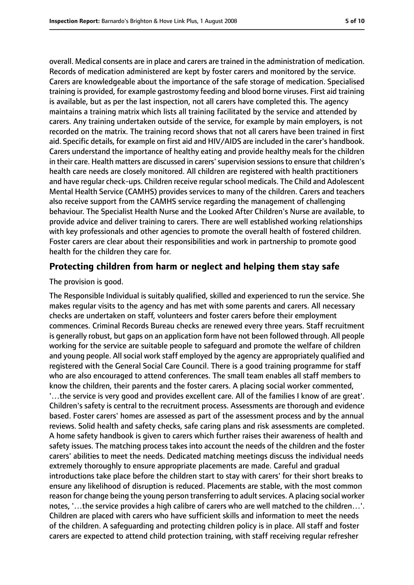overall. Medical consents are in place and carers are trained in the administration of medication. Records of medication administered are kept by foster carers and monitored by the service. Carers are knowledgeable about the importance of the safe storage of medication. Specialised training is provided, for example gastrostomy feeding and blood borne viruses. First aid training is available, but as per the last inspection, not all carers have completed this. The agency maintains a training matrix which lists all training facilitated by the service and attended by carers. Any training undertaken outside of the service, for example by main employers, is not recorded on the matrix. The training record shows that not all carers have been trained in first aid. Specific details, for example on first aid and HIV/AIDS are included in the carer's handbook. Carers understand the importance of healthy eating and provide healthy meals for the children in their care. Health matters are discussed in carers'supervision sessionsto ensure that children's health care needs are closely monitored. All children are registered with health practitioners and have regular check-ups. Children receive regularschool medicals. The Child and Adolescent Mental Health Service (CAMHS) provides services to many of the children. Carers and teachers also receive support from the CAMHS service regarding the management of challenging behaviour. The Specialist Health Nurse and the Looked After Children's Nurse are available, to provide advice and deliver training to carers. There are well established working relationships with key professionals and other agencies to promote the overall health of fostered children. Foster carers are clear about their responsibilities and work in partnership to promote good health for the children they care for.

#### **Protecting children from harm or neglect and helping them stay safe**

The provision is good.

The Responsible Individual is suitably qualified, skilled and experienced to run the service. She makes regular visits to the agency and has met with some parents and carers. All necessary checks are undertaken on staff, volunteers and foster carers before their employment commences. Criminal Records Bureau checks are renewed every three years. Staff recruitment is generally robust, but gaps on an application form have not been followed through. All people working for the service are suitable people to safeguard and promote the welfare of children and young people. All social work staff employed by the agency are appropriately qualified and registered with the General Social Care Council. There is a good training programme for staff who are also encouraged to attend conferences. The small team enables all staff members to know the children, their parents and the foster carers. A placing social worker commented, '…the service is very good and provides excellent care. All of the families I know of are great'. Children's safety is central to the recruitment process. Assessments are thorough and evidence based. Foster carers' homes are assessed as part of the assessment process and by the annual reviews. Solid health and safety checks, safe caring plans and risk assessments are completed. A home safety handbook is given to carers which further raises their awareness of health and safety issues. The matching process takes into account the needs of the children and the foster carers' abilities to meet the needs. Dedicated matching meetings discuss the individual needs extremely thoroughly to ensure appropriate placements are made. Careful and gradual introductions take place before the children start to stay with carers' for their short breaks to ensure any likelihood of disruption is reduced. Placements are stable, with the most common reason for change being the young person transferring to adult services. A placing social worker notes, '…the service provides a high calibre of carers who are well matched to the children…'. Children are placed with carers who have sufficient skills and information to meet the needs of the children. A safeguarding and protecting children policy is in place. All staff and foster carers are expected to attend child protection training, with staff receiving regular refresher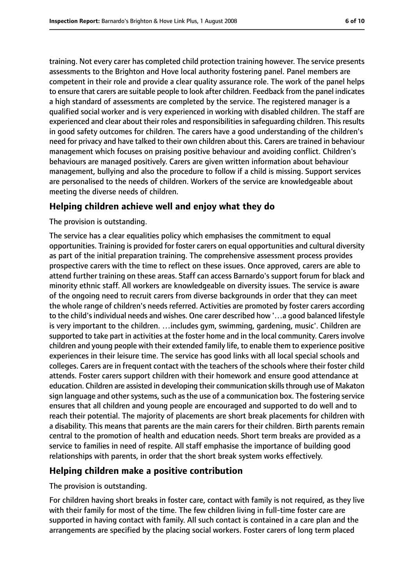training. Not every carer has completed child protection training however. The service presents assessments to the Brighton and Hove local authority fostering panel. Panel members are competent in their role and provide a clear quality assurance role. The work of the panel helps to ensure that carers are suitable people to look after children. Feedback from the panel indicates a high standard of assessments are completed by the service. The registered manager is a qualified social worker and is very experienced in working with disabled children. The staff are experienced and clear about their roles and responsibilities in safeguarding children. This results in good safety outcomes for children. The carers have a good understanding of the children's need for privacy and have talked to their own children about this. Carers are trained in behaviour management which focuses on praising positive behaviour and avoiding conflict. Children's behaviours are managed positively. Carers are given written information about behaviour management, bullying and also the procedure to follow if a child is missing. Support services are personalised to the needs of children. Workers of the service are knowledgeable about meeting the diverse needs of children.

### **Helping children achieve well and enjoy what they do**

#### The provision is outstanding.

The service has a clear equalities policy which emphasises the commitment to equal opportunities. Training is provided for foster carers on equal opportunities and cultural diversity as part of the initial preparation training. The comprehensive assessment process provides prospective carers with the time to reflect on these issues. Once approved, carers are able to attend further training on these areas. Staff can access Barnardo's support forum for black and minority ethnic staff. All workers are knowledgeable on diversity issues. The service is aware of the ongoing need to recruit carers from diverse backgrounds in order that they can meet the whole range of children's needs referred. Activities are promoted by foster carers according to the child's individual needs and wishes. One carer described how '…a good balanced lifestyle is very important to the children. …includes gym, swimming, gardening, music'. Children are supported to take part in activities at the foster home and in the local community. Carers involve children and young people with their extended family life, to enable them to experience positive experiences in their leisure time. The service has good links with all local special schools and colleges. Carers are in frequent contact with the teachers of the schools where their foster child attends. Foster carers support children with their homework and ensure good attendance at education. Children are assisted in developing their communication skills through use of Makaton sign language and other systems, such as the use of a communication box. The fostering service ensures that all children and young people are encouraged and supported to do well and to reach their potential. The majority of placements are short break placements for children with a disability. This means that parents are the main carers for their children. Birth parents remain central to the promotion of health and education needs. Short term breaks are provided as a service to families in need of respite. All staff emphasise the importance of building good relationships with parents, in order that the short break system works effectively.

### **Helping children make a positive contribution**

#### The provision is outstanding.

For children having short breaks in foster care, contact with family is not required, as they live with their family for most of the time. The few children living in full-time foster care are supported in having contact with family. All such contact is contained in a care plan and the arrangements are specified by the placing social workers. Foster carers of long term placed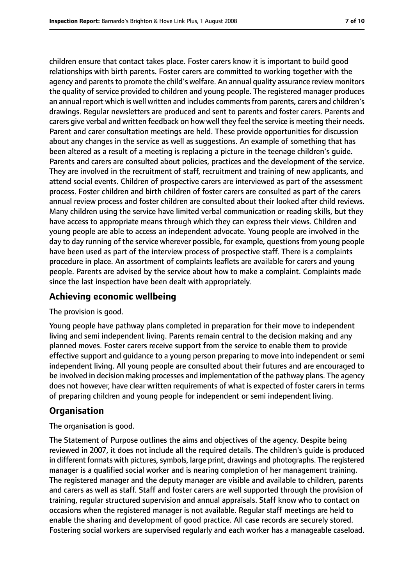children ensure that contact takes place. Foster carers know it is important to build good relationships with birth parents. Foster carers are committed to working together with the agency and parents to promote the child's welfare. An annual quality assurance review monitors the quality of service provided to children and young people. The registered manager produces an annual report which is well written and includes comments from parents, carers and children's drawings. Regular newsletters are produced and sent to parents and foster carers. Parents and carers give verbal and written feedback on how well they feel the service is meeting their needs. Parent and carer consultation meetings are held. These provide opportunities for discussion about any changes in the service as well as suggestions. An example of something that has been altered as a result of a meeting is replacing a picture in the teenage children's guide. Parents and carers are consulted about policies, practices and the development of the service. They are involved in the recruitment of staff, recruitment and training of new applicants, and attend social events. Children of prospective carers are interviewed as part of the assessment process. Foster children and birth children of foster carers are consulted as part of the carers annual review process and foster children are consulted about their looked after child reviews. Many children using the service have limited verbal communication or reading skills, but they have access to appropriate means through which they can express their views. Children and young people are able to access an independent advocate. Young people are involved in the day to day running of the service wherever possible, for example, questions from young people have been used as part of the interview process of prospective staff. There is a complaints procedure in place. An assortment of complaints leaflets are available for carers and young people. Parents are advised by the service about how to make a complaint. Complaints made since the last inspection have been dealt with appropriately.

### **Achieving economic wellbeing**

The provision is good.

Young people have pathway plans completed in preparation for their move to independent living and semi independent living. Parents remain central to the decision making and any planned moves. Foster carers receive support from the service to enable them to provide effective support and guidance to a young person preparing to move into independent or semi independent living. All young people are consulted about their futures and are encouraged to be involved in decision making processes and implementation of the pathway plans. The agency does not however, have clear written requirements of what is expected of foster carers in terms of preparing children and young people for independent or semi independent living.

### **Organisation**

The organisation is good.

The Statement of Purpose outlines the aims and objectives of the agency. Despite being reviewed in 2007, it does not include all the required details. The children's guide is produced in different formats with pictures, symbols, large print, drawings and photographs. The registered manager is a qualified social worker and is nearing completion of her management training. The registered manager and the deputy manager are visible and available to children, parents and carers as well as staff. Staff and foster carers are well supported through the provision of training, regular structured supervision and annual appraisals. Staff know who to contact on occasions when the registered manager is not available. Regular staff meetings are held to enable the sharing and development of good practice. All case records are securely stored. Fostering social workers are supervised regularly and each worker has a manageable caseload.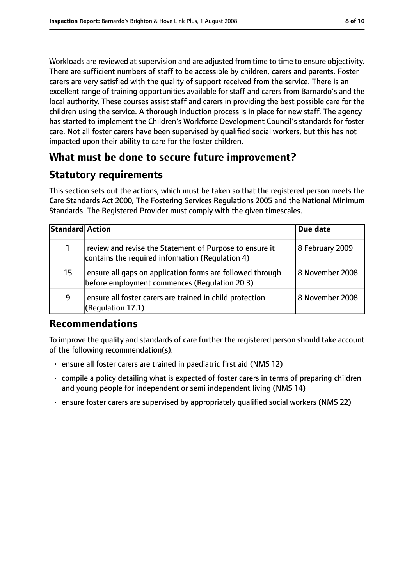Workloads are reviewed at supervision and are adjusted from time to time to ensure objectivity. There are sufficient numbers of staff to be accessible by children, carers and parents. Foster carers are very satisfied with the quality of support received from the service. There is an excellent range of training opportunities available for staff and carers from Barnardo's and the local authority. These courses assist staff and carers in providing the best possible care for the children using the service. A thorough induction process is in place for new staff. The agency has started to implement the Children's Workforce Development Council's standards for foster care. Not all foster carers have been supervised by qualified social workers, but this has not impacted upon their ability to care for the foster children.

# **What must be done to secure future improvement?**

# **Statutory requirements**

This section sets out the actions, which must be taken so that the registered person meets the Care Standards Act 2000, The Fostering Services Regulations 2005 and the National Minimum Standards. The Registered Provider must comply with the given timescales.

| Standard Action |                                                                                                             | Due date        |
|-----------------|-------------------------------------------------------------------------------------------------------------|-----------------|
| $\mathbf{1}$    | review and revise the Statement of Purpose to ensure it<br>contains the required information (Requlation 4) | 8 February 2009 |
| 15              | ensure all gaps on application forms are followed through<br>before employment commences (Regulation 20.3)  | 8 November 2008 |
| 9               | ensure all foster carers are trained in child protection<br>(Regulation 17.1)                               | 8 November 2008 |

# **Recommendations**

To improve the quality and standards of care further the registered person should take account of the following recommendation(s):

- ensure all foster carers are trained in paediatric first aid (NMS 12)
- compile a policy detailing what is expected of foster carers in terms of preparing children and young people for independent or semi independent living (NMS 14)
- ensure foster carers are supervised by appropriately qualified social workers (NMS 22)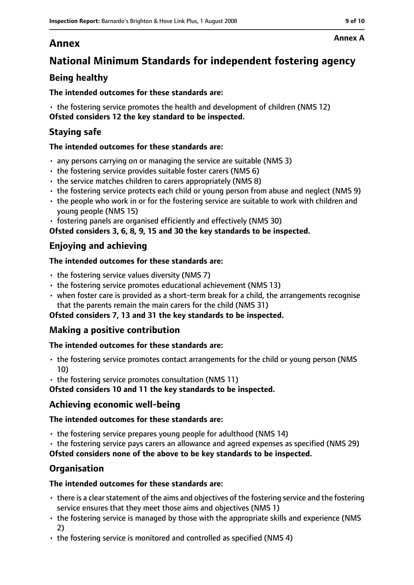# **Annex**

# **National Minimum Standards for independent fostering agency**

## **Being healthy**

### **The intended outcomes for these standards are:**

• the fostering service promotes the health and development of children (NMS 12) **Ofsted considers 12 the key standard to be inspected.**

### **Staying safe**

### **The intended outcomes for these standards are:**

- any persons carrying on or managing the service are suitable (NMS 3)
- the fostering service provides suitable foster carers (NMS 6)
- the service matches children to carers appropriately (NMS 8)
- the fostering service protects each child or young person from abuse and neglect (NMS 9)
- the people who work in or for the fostering service are suitable to work with children and young people (NMS 15)
- fostering panels are organised efficiently and effectively (NMS 30)

**Ofsted considers 3, 6, 8, 9, 15 and 30 the key standards to be inspected.**

### **Enjoying and achieving**

### **The intended outcomes for these standards are:**

- $\cdot$  the fostering service values diversity (NMS 7)
- the fostering service promotes educational achievement (NMS 13)
- when foster care is provided as a short-term break for a child, the arrangements recognise that the parents remain the main carers for the child (NMS 31)

#### **Ofsted considers 7, 13 and 31 the key standards to be inspected.**

### **Making a positive contribution**

#### **The intended outcomes for these standards are:**

- the fostering service promotes contact arrangements for the child or young person (NMS 10)
- the fostering service promotes consultation (NMS 11)

**Ofsted considers 10 and 11 the key standards to be inspected.**

### **Achieving economic well-being**

#### **The intended outcomes for these standards are:**

- the fostering service prepares young people for adulthood (NMS 14)
- the fostering service pays carers an allowance and agreed expenses as specified (NMS 29)

**Ofsted considers none of the above to be key standards to be inspected.**

### **Organisation**

### **The intended outcomes for these standards are:**

- $\cdot$  there is a clear statement of the aims and objectives of the fostering service and the fostering service ensures that they meet those aims and objectives (NMS 1)
- the fostering service is managed by those with the appropriate skills and experience (NMS 2)
- the fostering service is monitored and controlled as specified (NMS 4)